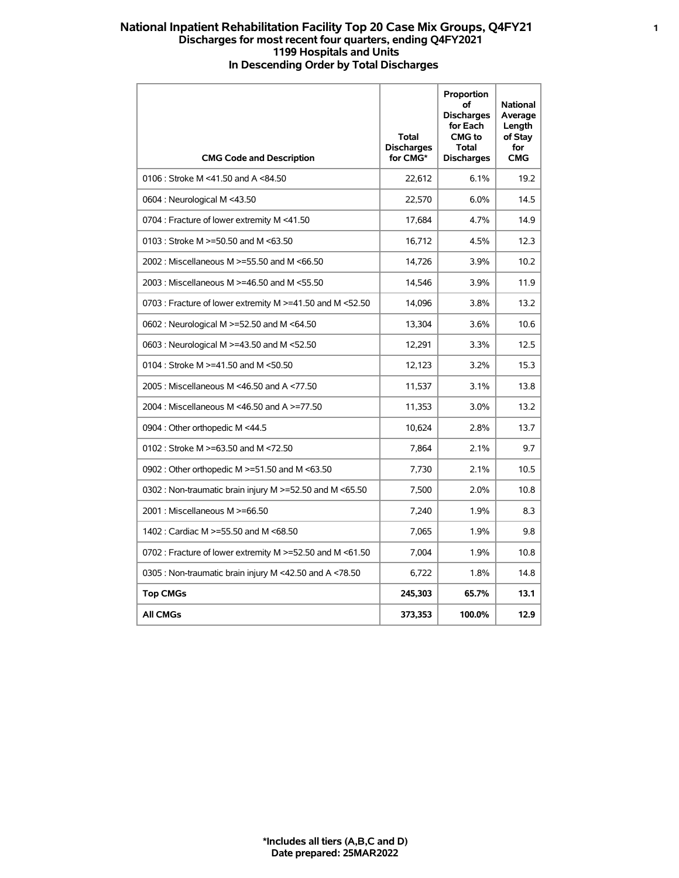## **National Inpatient Rehabilitation Facility Top 20 Case Mix Groups, Q4FY21 1 Discharges for most recent four quarters, ending Q4FY2021 1199 Hospitals and Units In Descending Order by Total Discharges**

| <b>CMG Code and Description</b>                               | Total<br><b>Discharges</b><br>for CMG* | Proportion<br>of<br><b>Discharges</b><br>for Each<br><b>CMG</b> to<br><b>Total</b><br><b>Discharges</b> | <b>National</b><br>Average<br>Length<br>of Stay<br>for<br><b>CMG</b> |
|---------------------------------------------------------------|----------------------------------------|---------------------------------------------------------------------------------------------------------|----------------------------------------------------------------------|
| 0106 : Stroke M <41.50 and A <84.50                           | 22,612                                 | 6.1%                                                                                                    | 19.2                                                                 |
| 0604 : Neurological M <43.50                                  | 22.570                                 | 6.0%                                                                                                    | 14.5                                                                 |
| 0704 : Fracture of lower extremity M <41.50                   | 17,684                                 | 4.7%                                                                                                    | 14.9                                                                 |
| 0103 : Stroke M >=50.50 and M <63.50                          | 16,712                                 | 4.5%                                                                                                    | 12.3                                                                 |
| 2002 : Miscellaneous M >=55.50 and M <66.50                   | 14,726                                 | 3.9%                                                                                                    | 10.2                                                                 |
| 2003 : Miscellaneous M >=46.50 and M <55.50                   | 14,546                                 | 3.9%                                                                                                    | 11.9                                                                 |
| 0703 : Fracture of lower extremity M >=41.50 and M <52.50     | 14.096                                 | 3.8%                                                                                                    | 13.2                                                                 |
| 0602 : Neurological M >=52.50 and M <64.50                    | 13,304                                 | 3.6%                                                                                                    | 10.6                                                                 |
| 0603 : Neurological M >=43.50 and M <52.50                    | 12,291                                 | 3.3%                                                                                                    | 12.5                                                                 |
| 0104 : Stroke M $> = 41.50$ and M $< 50.50$                   | 12,123                                 | 3.2%                                                                                                    | 15.3                                                                 |
| 2005 : Miscellaneous M <46.50 and A <77.50                    | 11,537                                 | 3.1%                                                                                                    | 13.8                                                                 |
| 2004 : Miscellaneous M <46.50 and A >=77.50                   | 11,353                                 | 3.0%                                                                                                    | 13.2                                                                 |
| 0904 : Other orthopedic M <44.5                               | 10,624                                 | 2.8%                                                                                                    | 13.7                                                                 |
| 0102 : Stroke M $> = 63.50$ and M $< 72.50$                   | 7,864                                  | 2.1%                                                                                                    | 9.7                                                                  |
| 0902 : Other orthopedic M >=51.50 and M <63.50                | 7,730                                  | 2.1%                                                                                                    | 10.5                                                                 |
| 0302 : Non-traumatic brain injury M $\ge$ =52.50 and M <65.50 | 7.500                                  | 2.0%                                                                                                    | 10.8                                                                 |
| 2001 : Miscellaneous M >=66.50                                | 7,240                                  | 1.9%                                                                                                    | 8.3                                                                  |
| 1402 : Cardiac M >=55.50 and M <68.50                         | 7,065                                  | 1.9%                                                                                                    | 9.8                                                                  |
| 0702 : Fracture of lower extremity M >=52.50 and M <61.50     | 7,004                                  | 1.9%                                                                                                    | 10.8                                                                 |
| 0305 : Non-traumatic brain injury M <42.50 and A <78.50       | 6,722                                  | 1.8%                                                                                                    | 14.8                                                                 |
| <b>Top CMGs</b>                                               | 245.303                                | 65.7%                                                                                                   | 13.1                                                                 |
| <b>All CMGs</b>                                               | 373,353                                | 100.0%                                                                                                  | 12.9                                                                 |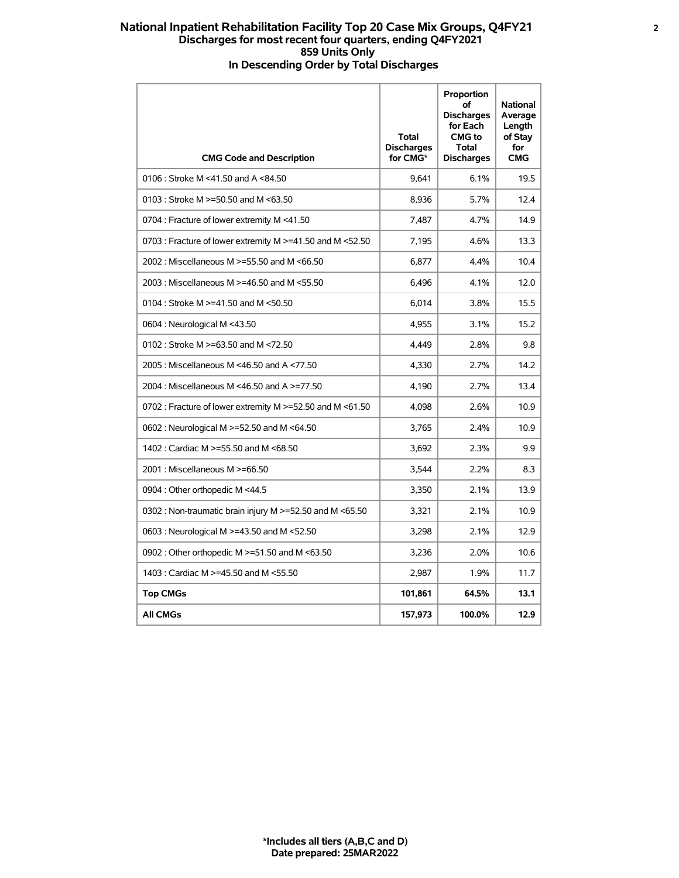## **National Inpatient Rehabilitation Facility Top 20 Case Mix Groups, Q4FY21 2 Discharges for most recent four quarters, ending Q4FY2021 859 Units Only In Descending Order by Total Discharges**

| <b>CMG Code and Description</b>                                | Total<br><b>Discharges</b><br>for CMG* | Proportion<br>of<br><b>Discharges</b><br>for Each<br><b>CMG</b> to<br><b>Total</b><br><b>Discharges</b> | <b>National</b><br>Average<br>Length<br>of Stay<br>for<br><b>CMG</b> |
|----------------------------------------------------------------|----------------------------------------|---------------------------------------------------------------------------------------------------------|----------------------------------------------------------------------|
| 0106 : Stroke M <41.50 and A <84.50                            | 9,641                                  | 6.1%                                                                                                    | 19.5                                                                 |
| 0103 : Stroke M $>=$ 50.50 and M < 63.50                       | 8,936                                  | 5.7%                                                                                                    | 12.4                                                                 |
| 0704 : Fracture of lower extremity M <41.50                    | 7.487                                  | 4.7%                                                                                                    | 14.9                                                                 |
| 0703 : Fracture of lower extremity M >=41.50 and M <52.50      | 7,195                                  | 4.6%                                                                                                    | 13.3                                                                 |
| 2002 : Miscellaneous M >=55.50 and M <66.50                    | 6,877                                  | 4.4%                                                                                                    | 10.4                                                                 |
| 2003 : Miscellaneous M >=46.50 and M <55.50                    | 6.496                                  | 4.1%                                                                                                    | 12.0                                                                 |
| 0104 : Stroke M >=41.50 and M <50.50                           | 6,014                                  | 3.8%                                                                                                    | 15.5                                                                 |
| 0604 : Neurological M <43.50                                   | 4,955                                  | 3.1%                                                                                                    | 15.2                                                                 |
| 0102 : Stroke M >=63.50 and M <72.50                           | 4.449                                  | 2.8%                                                                                                    | 9.8                                                                  |
| 2005: Miscellaneous M <46.50 and A <77.50                      | 4,330                                  | 2.7%                                                                                                    | 14.2                                                                 |
| 2004 : Miscellaneous M <46.50 and A >=77.50                    | 4,190                                  | 2.7%                                                                                                    | 13.4                                                                 |
| 0702 : Fracture of lower extremity M $\ge$ =52.50 and M <61.50 | 4,098                                  | 2.6%                                                                                                    | 10.9                                                                 |
| 0602 : Neurological M >=52.50 and M <64.50                     | 3,765                                  | 2.4%                                                                                                    | 10.9                                                                 |
| 1402 : Cardiac M >=55.50 and M <68.50                          | 3,692                                  | 2.3%                                                                                                    | 9.9                                                                  |
| 2001 : Miscellaneous M >=66.50                                 | 3,544                                  | 2.2%                                                                                                    | 8.3                                                                  |
| 0904 : Other orthopedic M <44.5                                | 3,350                                  | 2.1%                                                                                                    | 13.9                                                                 |
| 0302 : Non-traumatic brain injury M >=52.50 and M <65.50       | 3,321                                  | 2.1%                                                                                                    | 10.9                                                                 |
| 0603 : Neurological M >=43.50 and M <52.50                     | 3.298                                  | 2.1%                                                                                                    | 12.9                                                                 |
| 0902 : Other orthopedic M >=51.50 and M <63.50                 | 3,236                                  | 2.0%                                                                                                    | 10.6                                                                 |
| 1403 : Cardiac M >=45.50 and M <55.50                          | 2,987                                  | 1.9%                                                                                                    | 11.7                                                                 |
| <b>Top CMGs</b>                                                | 101,861                                | 64.5%                                                                                                   | 13.1                                                                 |
| <b>All CMGs</b>                                                | 157,973                                | 100.0%                                                                                                  | 12.9                                                                 |